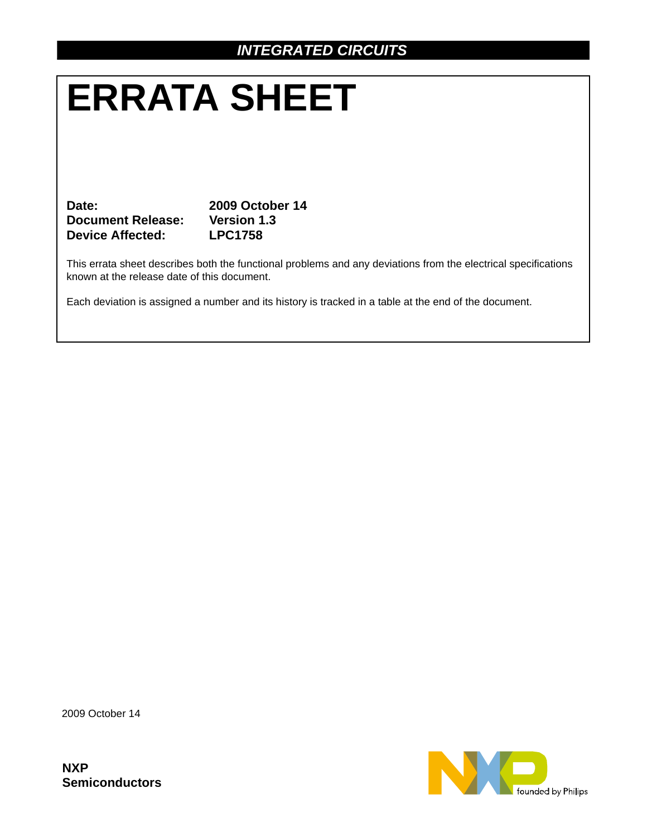# **ERRATA SHEET**

**Date: 2009 October 14 Document Release: Version 1.3 Device Affected: LPC1758**

This errata sheet describes both the functional problems and any deviations from the electrical specifications known at the release date of this document.

Each deviation is assigned a number and its history is tracked in a table at the end of the document.

2009 October 14

**NXP Semiconductors**

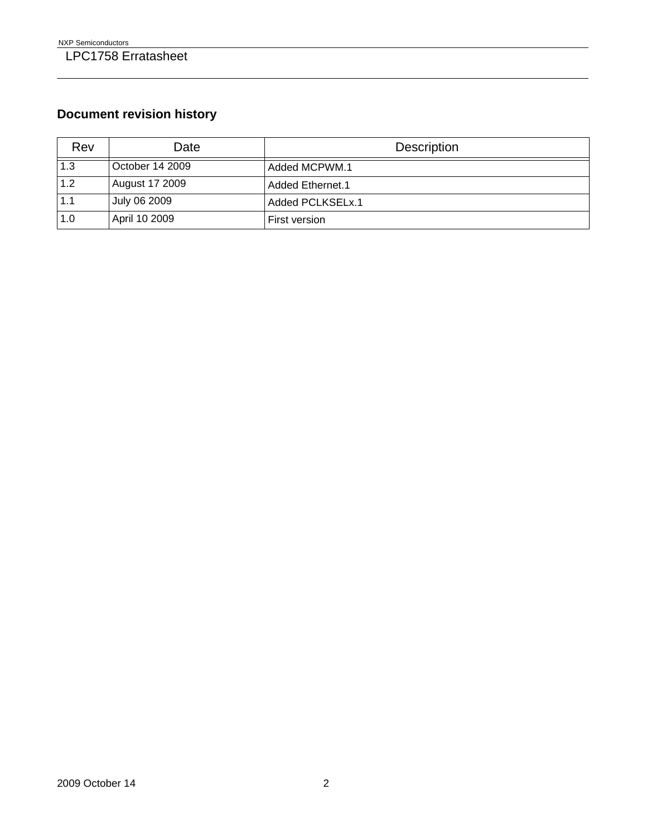# **Document revision history**

| Rev | Date                  | <b>Description</b> |
|-----|-----------------------|--------------------|
| 1.3 | October 14 2009       | Added MCPWM.1      |
| 1.2 | <b>August 17 2009</b> | Added Ethernet.1   |
| 1.1 | July 06 2009          | Added PCLKSELx.1   |
| 1.0 | April 10 2009         | First version      |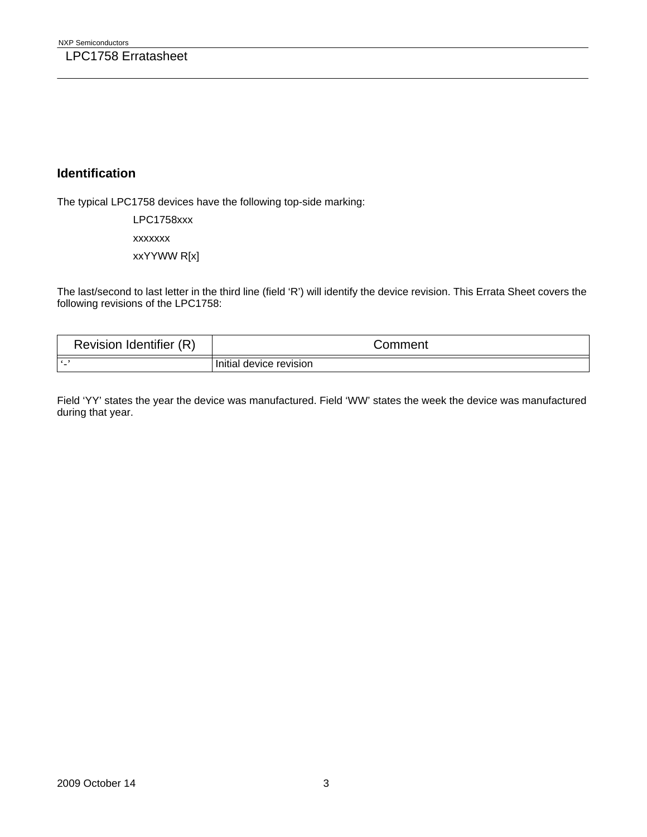## **Identification**

The typical LPC1758 devices have the following top-side marking:

LPC1758xxx xxxxxxx xxYYWW R[x]

The last/second to last letter in the third line (field 'R') will identify the device revision. This Errata Sheet covers the following revisions of the LPC1758:

| Revision Identifier (R) | Comment                 |
|-------------------------|-------------------------|
| $\bullet$               | Initial device revision |

Field 'YY' states the year the device was manufactured. Field 'WW' states the week the device was manufactured during that year.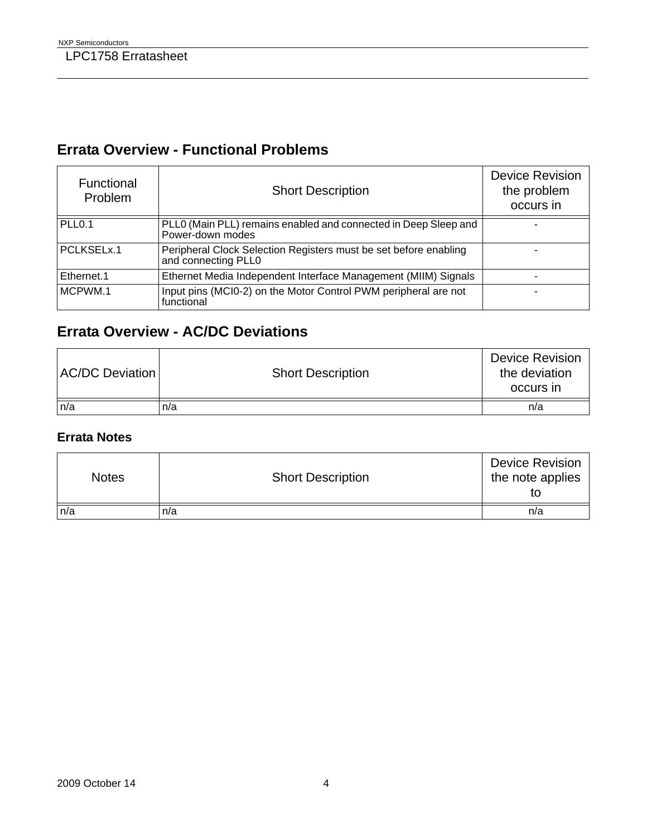# **Errata Overview - Functional Problems**

| Functional<br>Problem | <b>Short Description</b>                                                                | <b>Device Revision</b><br>the problem<br>occurs in |
|-----------------------|-----------------------------------------------------------------------------------------|----------------------------------------------------|
| PLL <sub>0.1</sub>    | PLL0 (Main PLL) remains enabled and connected in Deep Sleep and<br>Power-down modes     |                                                    |
| PCLKSELx.1            | Peripheral Clock Selection Registers must be set before enabling<br>and connecting PLL0 |                                                    |
| Ethernet.1            | Ethernet Media Independent Interface Management (MIIM) Signals                          |                                                    |
| MCPWM.1               | Input pins (MCI0-2) on the Motor Control PWM peripheral are not<br>functional           |                                                    |

# **Errata Overview - AC/DC Deviations**

| <b>AC/DC Deviation</b> | <b>Short Description</b> | <b>Device Revision</b><br>the deviation<br>occurs in |
|------------------------|--------------------------|------------------------------------------------------|
| n/a                    | n/a                      | n/a                                                  |

### **Errata Notes**

| <b>Notes</b> | <b>Short Description</b> | <b>Device Revision</b><br>the note applies<br>tΟ |
|--------------|--------------------------|--------------------------------------------------|
| n/a          | n/a                      | n/a                                              |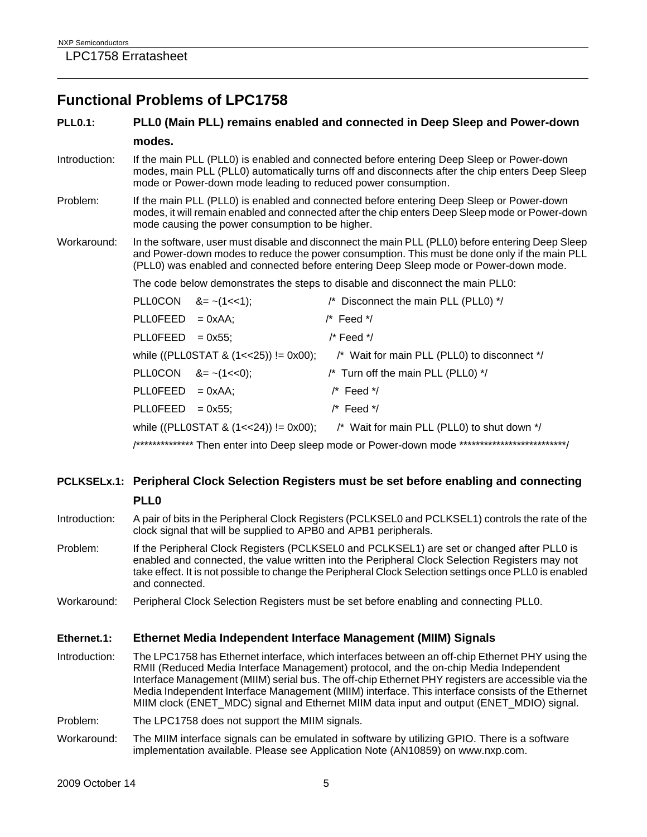## **Functional Problems of LPC1758**

### **PLL0.1: PLL0 (Main PLL) remains enabled and connected in Deep Sleep and Power-down modes.**

- Introduction: If the main PLL (PLL0) is enabled and connected before entering Deep Sleep or Power-down modes, main PLL (PLL0) automatically turns off and disconnects after the chip enters Deep Sleep mode or Power-down mode leading to reduced power consumption.
- Problem: If the main PLL (PLL0) is enabled and connected before entering Deep Sleep or Power-down modes, it will remain enabled and connected after the chip enters Deep Sleep mode or Power-down mode causing the power consumption to be higher.
- Workaround: In the software, user must disable and disconnect the main PLL (PLL0) before entering Deep Sleep and Power-down modes to reduce the power consumption. This must be done only if the main PLL (PLL0) was enabled and connected before entering Deep Sleep mode or Power-down mode.

The code below demonstrates the steps to disable and disconnect the main PLL0:

|                    | PLLOCON $&=- (1 < 1);$  | /* Disconnect the main PLL (PLL0) */                                                             |
|--------------------|-------------------------|--------------------------------------------------------------------------------------------------|
| $PLLOFEED = 0xAA;$ |                         | $/*$ Feed $*$ /                                                                                  |
| $PLLOFEED = 0x55;$ |                         | /* Feed */                                                                                       |
|                    |                         | while ((PLL0STAT & $(1<<25)$ ) != 0x00); /* Wait for main PLL (PLL0) to disconnect */            |
|                    | PLLOCON $8 = -(1 < 0);$ | /* Turn off the main PLL (PLL0) */                                                               |
| $PLLOFEED = 0xAA;$ |                         | $/*$ Feed $*$ /                                                                                  |
| $PLLOFEED = 0x55;$ |                         | $/*$ Feed $*$ /                                                                                  |
|                    |                         | while ((PLLOSTAT & $(1 < 24)$ ) != 0x00); /* Wait for main PLL (PLLO) to shut down */            |
|                    |                         | /*************** Then enter into Deep sleep mode or Power-down mode **************************** |

### **PCLKSELx.1: Peripheral Clock Selection Registers must be set before enabling and connecting PLL0**

- Introduction: A pair of bits in the Peripheral Clock Registers (PCLKSEL0 and PCLKSEL1) controls the rate of the clock signal that will be supplied to APB0 and APB1 peripherals.
- Problem: If the Peripheral Clock Registers (PCLKSEL0 and PCLKSEL1) are set or changed after PLL0 is enabled and connected, the value written into the Peripheral Clock Selection Registers may not take effect. It is not possible to change the Peripheral Clock Selection settings once PLL0 is enabled and connected.
- Workaround: Peripheral Clock Selection Registers must be set before enabling and connecting PLL0.

#### **Ethernet.1: Ethernet Media Independent Interface Management (MIIM) Signals**

Introduction: The LPC1758 has Ethernet interface, which interfaces between an off-chip Ethernet PHY using the RMII (Reduced Media Interface Management) protocol, and the on-chip Media Independent Interface Management (MIIM) serial bus. The off-chip Ethernet PHY registers are accessible via the Media Independent Interface Management (MIIM) interface. This interface consists of the Ethernet MIIM clock (ENET\_MDC) signal and Ethernet MIIM data input and output (ENET\_MDIO) signal.

Problem: The LPC1758 does not support the MIIM signals.

Workaround: The MIIM interface signals can be emulated in software by utilizing GPIO. There is a software implementation available. Please see Application Note (AN10859) on www.nxp.com.